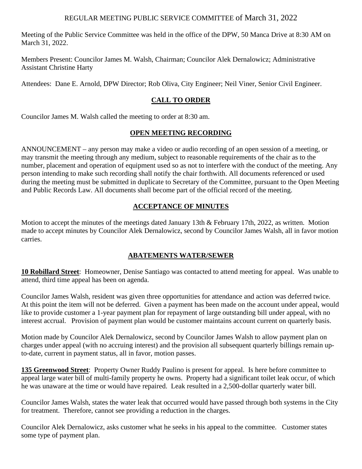### REGULAR MEETING PUBLIC SERVICE COMMITTEE of March 31, 2022

Meeting of the Public Service Committee was held in the office of the DPW, 50 Manca Drive at 8:30 AM on March 31, 2022.

Members Present: Councilor James M. Walsh, Chairman; Councilor Alek Dernalowicz; Administrative Assistant Christine Harty

Attendees: Dane E. Arnold, DPW Director; Rob Oliva, City Engineer; Neil Viner, Senior Civil Engineer.

# **CALL TO ORDER**

Councilor James M. Walsh called the meeting to order at 8:30 am.

## **OPEN MEETING RECORDING**

ANNOUNCEMENT – any person may make a video or audio recording of an open session of a meeting, or may transmit the meeting through any medium, subject to reasonable requirements of the chair as to the number, placement and operation of equipment used so as not to interfere with the conduct of the meeting. Any person intending to make such recording shall notify the chair forthwith. All documents referenced or used during the meeting must be submitted in duplicate to Secretary of the Committee, pursuant to the Open Meeting and Public Records Law. All documents shall become part of the official record of the meeting.

# **ACCEPTANCE OF MINUTES**

Motion to accept the minutes of the meetings dated January 13th & February 17th, 2022, as written. Motion made to accept minutes by Councilor Alek Dernalowicz, second by Councilor James Walsh, all in favor motion carries.

# **ABATEMENTS WATER/SEWER**

**10 Robillard Street**: Homeowner, Denise Santiago was contacted to attend meeting for appeal. Was unable to attend, third time appeal has been on agenda.

Councilor James Walsh, resident was given three opportunities for attendance and action was deferred twice. At this point the item will not be deferred. Given a payment has been made on the account under appeal, would like to provide customer a 1-year payment plan for repayment of large outstanding bill under appeal, with no interest accrual. Provision of payment plan would be customer maintains account current on quarterly basis.

Motion made by Councilor Alek Dernalowicz, second by Councilor James Walsh to allow payment plan on charges under appeal (with no accruing interest) and the provision all subsequent quarterly billings remain upto-date, current in payment status, all in favor, motion passes.

**135 Greenwood Street**: Property Owner Ruddy Paulino is present for appeal. Is here before committee to appeal large water bill of multi-family property he owns. Property had a significant toilet leak occur, of which he was unaware at the time or would have repaired. Leak resulted in a 2,500-dollar quarterly water bill.

Councilor James Walsh, states the water leak that occurred would have passed through both systems in the City for treatment. Therefore, cannot see providing a reduction in the charges.

Councilor Alek Dernalowicz, asks customer what he seeks in his appeal to the committee. Customer states some type of payment plan.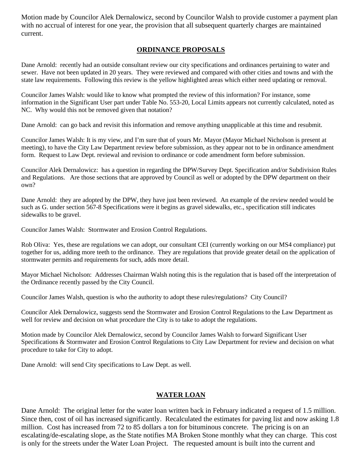Motion made by Councilor Alek Dernalowicz, second by Councilor Walsh to provide customer a payment plan with no accrual of interest for one year, the provision that all subsequent quarterly charges are maintained current.

## **ORDINANCE PROPOSALS**

Dane Arnold: recently had an outside consultant review our city specifications and ordinances pertaining to water and sewer. Have not been updated in 20 years. They were reviewed and compared with other cities and towns and with the state law requirements. Following this review is the yellow highlighted areas which either need updating or removal.

Councilor James Walsh: would like to know what prompted the review of this information? For instance, some information in the Significant User part under Table No. 553-20, Local Limits appears not currently calculated, noted as NC. Why would this not be removed given that notation?

Dane Arnold: can go back and revisit this information and remove anything unapplicable at this time and resubmit.

Councilor James Walsh: It is my view, and I'm sure that of yours Mr. Mayor (Mayor Michael Nicholson is present at meeting), to have the City Law Department review before submission, as they appear not to be in ordinance amendment form. Request to Law Dept. reviewal and revision to ordinance or code amendment form before submission.

Councilor Alek Dernalowicz: has a question in regarding the DPW/Survey Dept. Specification and/or Subdivision Rules and Regulations. Are those sections that are approved by Council as well or adopted by the DPW department on their own?

Dane Arnold: they are adopted by the DPW, they have just been reviewed. An example of the review needed would be such as G. under section 567-8 Specifications were it begins as gravel sidewalks, etc., specification still indicates sidewalks to be gravel.

Councilor James Walsh: Stormwater and Erosion Control Regulations.

Rob Oliva: Yes, these are regulations we can adopt, our consultant CEI (currently working on our MS4 compliance) put together for us, adding more teeth to the ordinance. They are regulations that provide greater detail on the application of stormwater permits and requirements for such, adds more detail.

Mayor Michael Nicholson: Addresses Chairman Walsh noting this is the regulation that is based off the interpretation of the Ordinance recently passed by the City Council.

Councilor James Walsh, question is who the authority to adopt these rules/regulations? City Council?

Councilor Alek Dernalowicz, suggests send the Stormwater and Erosion Control Regulations to the Law Department as well for review and decision on what procedure the City is to take to adopt the regulations.

Motion made by Councilor Alek Dernalowicz, second by Councilor James Walsh to forward Significant User Specifications & Stormwater and Erosion Control Regulations to City Law Department for review and decision on what procedure to take for City to adopt.

Dane Arnold: will send City specifications to Law Dept. as well.

#### **WATER LOAN**

Dane Arnold: The original letter for the water loan written back in February indicated a request of 1.5 million. Since then, cost of oil has increased significantly. Recalculated the estimates for paving list and now asking 1.8 million. Cost has increased from 72 to 85 dollars a ton for bituminous concrete. The pricing is on an escalating/de-escalating slope, as the State notifies MA Broken Stone monthly what they can charge. This cost is only for the streets under the Water Loan Project. The requested amount is built into the current and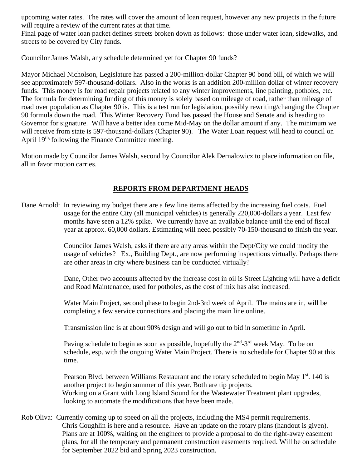upcoming water rates. The rates will cover the amount of loan request, however any new projects in the future will require a review of the current rates at that time.

Final page of water loan packet defines streets broken down as follows: those under water loan, sidewalks, and streets to be covered by City funds.

Councilor James Walsh, any schedule determined yet for Chapter 90 funds?

Mayor Michael Nicholson, Legislature has passed a 200-million-dollar Chapter 90 bond bill, of which we will see approximately 597-thousand-dollars. Also in the works is an addition 200-million dollar of winter recovery funds. This money is for road repair projects related to any winter improvements, line painting, potholes, etc. The formula for determining funding of this money is solely based on mileage of road, rather than mileage of road over population as Chapter 90 is. This is a test run for legislation, possibly rewriting/changing the Chapter 90 formula down the road. This Winter Recovery Fund has passed the House and Senate and is heading to Governor for signature. Will have a better idea come Mid-May on the dollar amount if any. The minimum we will receive from state is 597-thousand-dollars (Chapter 90). The Water Loan request will head to council on April 19<sup>th,</sup> following the Finance Committee meeting.

Motion made by Councilor James Walsh, second by Councilor Alek Dernalowicz to place information on file, all in favor motion carries.

# **REPORTS FROM DEPARTMENT HEADS**

Dane Arnold: In reviewing my budget there are a few line items affected by the increasing fuel costs. Fuel usage for the entire City (all municipal vehicles) is generally 220,000-dollars a year. Last few months have seen a 12% spike. We currently have an available balance until the end of fiscal year at approx. 60,000 dollars. Estimating will need possibly 70-150-thousand to finish the year.

> Councilor James Walsh, asks if there are any areas within the Dept/City we could modify the usage of vehicles? Ex., Building Dept., are now performing inspections virtually. Perhaps there are other areas in city where business can be conducted virtually?

> Dane, Other two accounts affected by the increase cost in oil is Street Lighting will have a deficit and Road Maintenance, used for potholes, as the cost of mix has also increased.

 Water Main Project, second phase to begin 2nd-3rd week of April. The mains are in, will be completing a few service connections and placing the main line online.

Transmission line is at about 90% design and will go out to bid in sometime in April.

Paving schedule to begin as soon as possible, hopefully the  $2<sup>nd</sup>$ -3<sup>rd</sup> week May. To be on schedule, esp. with the ongoing Water Main Project. There is no schedule for Chapter 90 at this time.

Pearson Blvd. between Williams Restaurant and the rotary scheduled to begin May  $1<sup>st</sup>$ . 140 is another project to begin summer of this year. Both are tip projects. Working on a Grant with Long Island Sound for the Wastewater Treatment plant upgrades, looking to automate the modifications that have been made.

Rob Oliva: Currently coming up to speed on all the projects, including the MS4 permit requirements. Chris Coughlin is here and a resource. Have an update on the rotary plans (handout is given). Plans are at 100%, waiting on the engineer to provide a proposal to do the right-away easement plans, for all the temporary and permanent construction easements required. Will be on schedule for September 2022 bid and Spring 2023 construction.